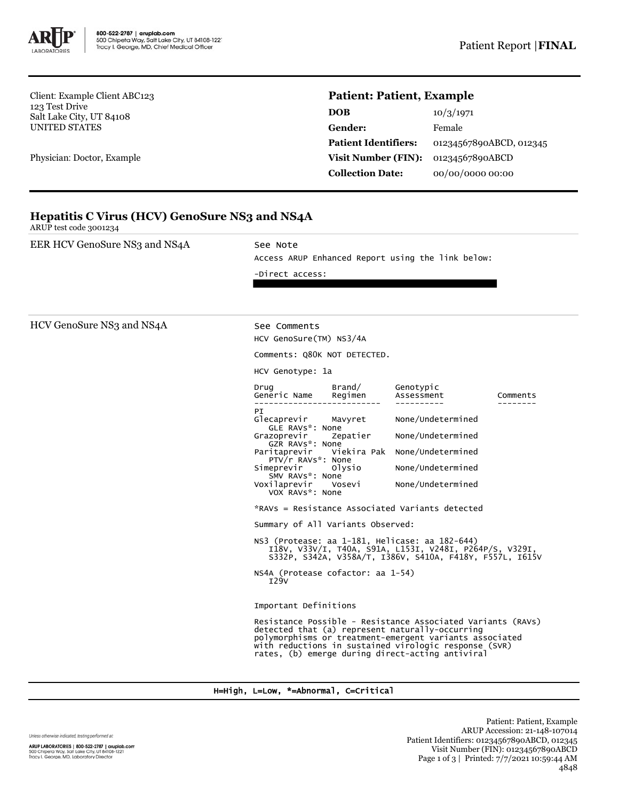

Client: Example Client ABC123 123 Test Drive Salt Lake City, UT 84108 UNITED STATES

Physician: Doctor, Example

## **Patient: Patient, Example**

| <b>DOB</b>                  | 10/3/1971               |
|-----------------------------|-------------------------|
| Gender:                     | Female                  |
| <b>Patient Identifiers:</b> | 01234567890ABCD, 012345 |
| Visit Number (FIN):         | 01234567890ABCD         |
| <b>Collection Date:</b>     | 00/00/0000 00:00        |

|                        | <b>Hepatitis C Virus (HCV) GenoSure NS3 and NS4A</b> |
|------------------------|------------------------------------------------------|
| ARUP test code 3001234 |                                                      |

| EER HCV GenoSure NS3 and NS4A | See Note<br>Access ARUP Enhanced Report using the link below:<br>-Direct access:                                                                                                                                                                                                                                                                                                                                                                                                                                                                                                                                                                                                                                                                                                                                                                                                                                                                                                                                                                       |  |  |
|-------------------------------|--------------------------------------------------------------------------------------------------------------------------------------------------------------------------------------------------------------------------------------------------------------------------------------------------------------------------------------------------------------------------------------------------------------------------------------------------------------------------------------------------------------------------------------------------------------------------------------------------------------------------------------------------------------------------------------------------------------------------------------------------------------------------------------------------------------------------------------------------------------------------------------------------------------------------------------------------------------------------------------------------------------------------------------------------------|--|--|
| HCV GenoSure NS3 and NS4A     | See Comments<br>HCV GenoSure(TM) NS3/4A<br>Comments: Q80K NOT DETECTED.<br>HCV Genotype: 1a<br>Drug<br>Brand/<br>Genotypic<br>Generic Name<br>Regimen<br>Assessment<br>Comments<br>PI<br>None/Undetermined<br>Glecaprevir<br>Mavyret<br>GLE RAVs*: None<br>None/Undetermined<br>Grazoprevir<br>Zepatier<br>GZR RAVS*: None<br>Viekira Pak None/Undetermined<br>Paritaprevir<br>PTV/r RAVs*: None<br>Simeprevir<br>None/Undetermined<br>Olysio<br>SMV RAVs*: None<br>None/Undetermined<br>Voxilaprevir<br>Vosevi<br>VOX RAVS*: None<br>*RAVs = Resistance Associated Variants detected<br>Summary of All Variants Observed:<br>NS3 (Protease: aa 1-181, Helicase: aa 182-644)<br>I18V, V33V/I, T40A, S91A, L153I, V248I, P264P/S, V329I,<br>S332P, S342A, V358A/T, I386V, S410A, F418Y, F557L, I615V<br>NS4A (Protease cofactor: aa 1-54)<br>129V<br>Important Definitions<br>Resistance Possible - Resistance Associated Variants (RAVs)<br>detected that (a) represent naturally-occurring<br>polymorphisms or treatment-emergent variants associated |  |  |

## H=High, L=Low, \*=Abnormal, C=Critical

|  |  | Unless otherwise indicated, testing performed at: |
|--|--|---------------------------------------------------|
|  |  |                                                   |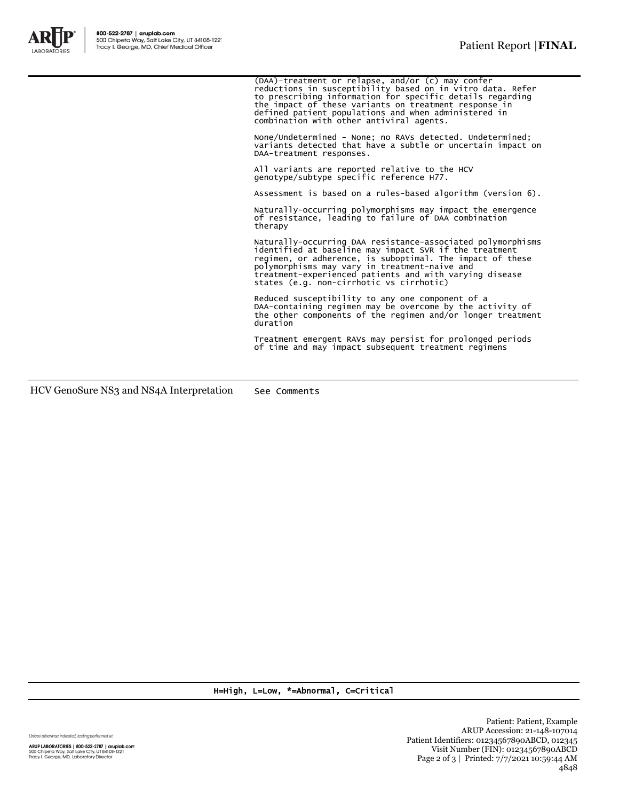

(DAA)-treatment or relapse, and/or (c) may confer<br>reductions in susceptibility based on in vitro data. Refer<br>to prescribing information for specific details regarding<br>the impact of these variants on treatment response in<br>d None/Undetermined - None; no RAVs detected. Undetermined; variants detected that have a subtle or uncertain impact on DAA-treatment responses.

> All variants are reported relative to the HCV genotype/subtype specific reference H77.

Assessment is based on a rules-based algorithm (version 6).

Naturally-occurring polymorphisms may impact the emergence of resistance, leading to failure of DAA combination therapy

Naturally-occurring DAA resistance-associated polymorphisms identified at baseline may impact SVR if the treatment regimen, or adherence, is suboptimal. The impact of these polymorphisms may vary in treatment-naive and treatment-experienced patients and with varying disease states (e.g. non-cirrhotic vs cirrhotic)

Reduced susceptibility to any one component of a DAA-containing regimen may be overcome by the activity of the other components of the regimen and/or longer treatment duration

Treatment emergent RAVs may persist for prolonged periods of time and may impact subsequent treatment regimens

HCV GenoSure NS3 and NS4A Interpretation See Comments

H=High, L=Low, \*=Abnormal, C=Critical

Unless otherwise indicated, testing performed at:

ARUP LABORATORIES | 800-522-2787 | aruplab.com<br>500 Chipeta Way, Salt Lake City, UT 84108-1221<br>Tracy I. George, MD, Laboratory Director

Patient: Patient, Example ARUP Accession: 21-148-107014 Patient Identifiers: 01234567890ABCD, 012345 Visit Number (FIN): 01234567890ABCD Page 2 of 3 | Printed: 7/7/2021 10:59:44 AM 4848